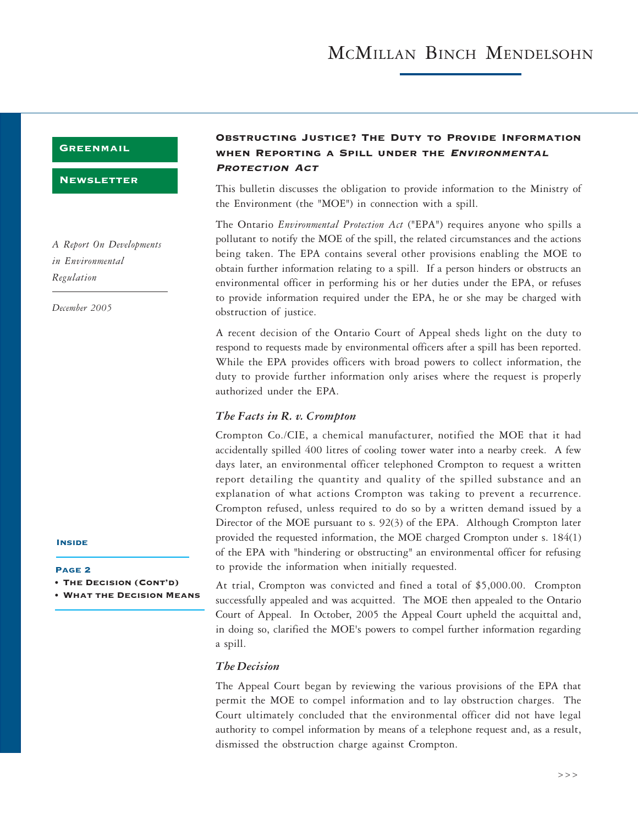### **GREENMAIL**

#### **NEWSLETTER**

*A Report On Developments in Environmental Regulation*

*December 2005*

#### **INSIDE**

- Page 2
- The Decision (Cont'd)
- **WHAT THE DECISION MEANS**

## Obstructing Justice? The Duty to Provide Information WHEN REPORTING A SPILL UNDER THE ENVIRONMENTAL PROTECTION ACT

This bulletin discusses the obligation to provide information to the Ministry of the Environment (the "MOE") in connection with a spill.

The Ontario *Environmental Protection Act* ("EPA") requires anyone who spills a pollutant to notify the MOE of the spill, the related circumstances and the actions being taken. The EPA contains several other provisions enabling the MOE to obtain further information relating to a spill. If a person hinders or obstructs an environmental officer in performing his or her duties under the EPA, or refuses to provide information required under the EPA, he or she may be charged with obstruction of justice.

A recent decision of the Ontario Court of Appeal sheds light on the duty to respond to requests made by environmental officers after a spill has been reported. While the EPA provides officers with broad powers to collect information, the duty to provide further information only arises where the request is properly authorized under the EPA.

#### *The Facts in R. v. Crompton*

Crompton Co./CIE, a chemical manufacturer, notified the MOE that it had accidentally spilled 400 litres of cooling tower water into a nearby creek. A few days later, an environmental officer telephoned Crompton to request a written report detailing the quantity and quality of the spilled substance and an explanation of what actions Crompton was taking to prevent a recurrence. Crompton refused, unless required to do so by a written demand issued by a Director of the MOE pursuant to s. 92(3) of the EPA. Although Crompton later provided the requested information, the MOE charged Crompton under s. 184(1) of the EPA with "hindering or obstructing" an environmental officer for refusing to provide the information when initially requested.

At trial, Crompton was convicted and fined a total of \$5,000.00. Crompton successfully appealed and was acquitted. The MOE then appealed to the Ontario Court of Appeal. In October, 2005 the Appeal Court upheld the acquittal and, in doing so, clarified the MOE's powers to compel further information regarding a spill.

### *The Decision*

The Appeal Court began by reviewing the various provisions of the EPA that permit the MOE to compel information and to lay obstruction charges. The Court ultimately concluded that the environmental officer did not have legal authority to compel information by means of a telephone request and, as a result, dismissed the obstruction charge against Crompton.